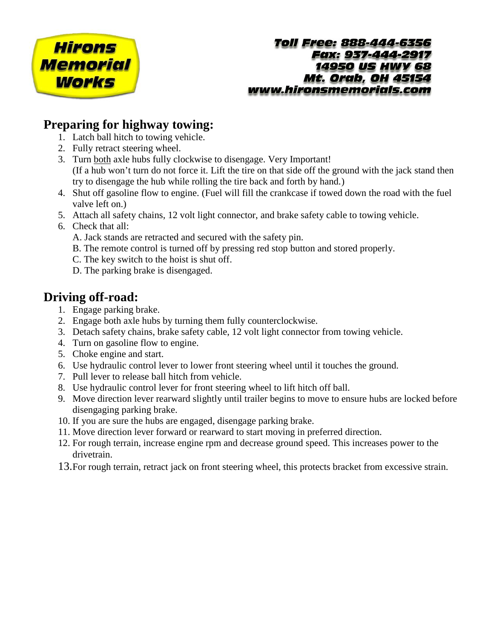

#### **Toll Free: 888-444-6356 Eax: 937-444-2917 14950 US HWY 68 Mt. Orab, OH 45154** www.hironsmemorials.com

## **Preparing for highway towing:**

- 1. Latch ball hitch to towing vehicle.
- 2. Fully retract steering wheel.
- 3. Turn both axle hubs fully clockwise to disengage. Very Important! (If a hub won't turn do not force it. Lift the tire on that side off the ground with the jack stand then try to disengage the hub while rolling the tire back and forth by hand.)
- 4. Shut off gasoline flow to engine. (Fuel will fill the crankcase if towed down the road with the fuel valve left on.)
- 5. Attach all safety chains, 12 volt light connector, and brake safety cable to towing vehicle.
- 6. Check that all:

A. Jack stands are retracted and secured with the safety pin.

- B. The remote control is turned off by pressing red stop button and stored properly.
- C. The key switch to the hoist is shut off.
- D. The parking brake is disengaged.

# **Driving off-road:**

- 1. Engage parking brake.
- 2. Engage both axle hubs by turning them fully counterclockwise.
- 3. Detach safety chains, brake safety cable, 12 volt light connector from towing vehicle.
- 4. Turn on gasoline flow to engine.
- 5. Choke engine and start.
- 6. Use hydraulic control lever to lower front steering wheel until it touches the ground.
- 7. Pull lever to release ball hitch from vehicle.
- 8. Use hydraulic control lever for front steering wheel to lift hitch off ball.
- 9. Move direction lever rearward slightly until trailer begins to move to ensure hubs are locked before disengaging parking brake.
- 10. If you are sure the hubs are engaged, disengage parking brake.
- 11. Move direction lever forward or rearward to start moving in preferred direction.
- 12. For rough terrain, increase engine rpm and decrease ground speed. This increases power to the drivetrain.
- 13.For rough terrain, retract jack on front steering wheel, this protects bracket from excessive strain.